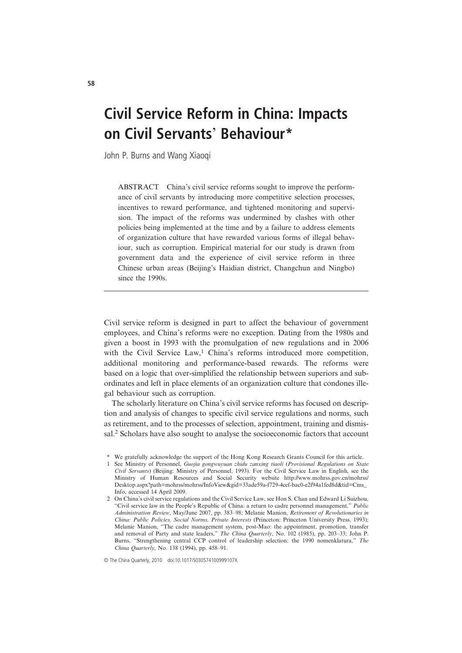# Civil Service Reform in China: Impacts on Civil Servants' Behaviour\*

John P. Burns and Wang Xiaoqi

ABSTRACT China's civil service reforms sought to improve the performance of civil servants by introducing more competitive selection processes, incentives to reward performance, and tightened monitoring and supervision. The impact of the reforms was undermined by clashes with other policies being implemented at the time and by a failure to address elements of organization culture that have rewarded various forms of illegal behaviour, such as corruption. Empirical material for our study is drawn from government data and the experience of civil service reform in three Chinese urban areas (Beijing's Haidian district, Changchun and Ningbo) since the 1990s.

Civil service reform is designed in part to affect the behaviour of government employees, and China's reforms were no exception. Dating from the 1980s and given a boost in 1993 with the promulgation of new regulations and in 2006 with the Civil Service Law,<sup>1</sup> China's reforms introduced more competition, additional monitoring and performance-based rewards. The reforms were based on a logic that over-simplified the relationship between superiors and subordinates and left in place elements of an organization culture that condones illegal behaviour such as corruption.

The scholarly literature on China's civil service reforms has focused on description and analysis of changes to specific civil service regulations and norms, such as retirement, and to the processes of selection, appointment, training and dismissal.<sup>2</sup> Scholars have also sought to analyse the socioeconomic factors that account

© The China Quarterly, 2010 doi:10.1017/S030574100999107X

<sup>\*</sup> We gratefully acknowledge the support of the Hong Kong Research Grants Council for this article.

<sup>1</sup> See Ministry of Personnel, Guojia gongwuyuan zhidu zanxing tiaoli (Provisional Regulations on State Civil Servants) (Beijing: Ministry of Personnel, 1993). For the Civil Service Law in English, see the Ministry of Human Resources and Social Security website http://www.mohrss.gov.cn/mohrss/ Desktop.aspx?path=mohrss/mohrss/InfoView&gid=33ade59a-f729-4cef-bac0-e2f94a1fed8d&tid=Cms\_ Info, accessed 14 April 2009.

<sup>2</sup> On China's civil service regulations and the Civil Service Law, see Hon S. Chan and Edward Li Suizhou, "Civil service law in the People's Republic of China: a return to cadre personnel management," Public Administration Review, May/June 2007, pp. 383–98; Melanie Manion, Retirement of Revolutionaries in China: Public Policies, Social Norms, Private Interests (Princeton: Princeton University Press, 1993); Melanie Manion, "The cadre management system, post-Mao: the appointment, promotion, transfer and removal of Party and state leaders," The China Quarterly, No. 102 (1985), pp. 203–33; John P. Burns, "Strengthening central CCP control of leadership selection: the 1990 nomenklatura," The China Quarterly, No. 138 (1994), pp. 458–91.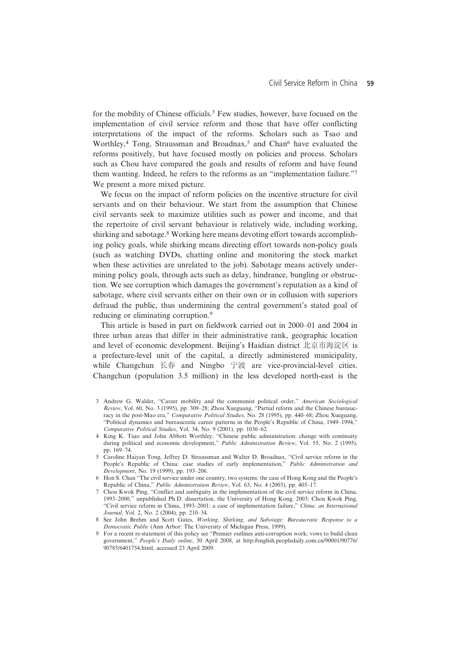for the mobility of Chinese officials.<sup>3</sup> Few studies, however, have focused on the implementation of civil service reform and those that have offer conflicting interpretations of the impact of the reforms. Scholars such as Tsao and Worthley,<sup>4</sup> Tong, Straussman and Broadnax,<sup>5</sup> and Chan<sup>6</sup> have evaluated the reforms positively, but have focused mostly on policies and process. Scholars such as Chou have compared the goals and results of reform and have found them wanting. Indeed, he refers to the reforms as an "implementation failure."<sup>7</sup> We present a more mixed picture.

We focus on the impact of reform policies on the incentive structure for civil servants and on their behaviour. We start from the assumption that Chinese civil servants seek to maximize utilities such as power and income, and that the repertoire of civil servant behaviour is relatively wide, including working, shirking and sabotage.<sup>8</sup> Working here means devoting effort towards accomplishing policy goals, while shirking means directing effort towards non-policy goals (such as watching DVDs, chatting online and monitoring the stock market when these activities are unrelated to the job). Sabotage means actively undermining policy goals, through acts such as delay, hindrance, bungling or obstruction. We see corruption which damages the government's reputation as a kind of sabotage, where civil servants either on their own or in collusion with superiors defraud the public, thus undermining the central government's stated goal of reducing or eliminating corruption.<sup>9</sup>

This article is based in part on fieldwork carried out in 2000–01 and 2004 in three urban areas that differ in their administrative rank, geographic location and level of economic development. Beijing's Haidian district 北京市海淀区 is a prefecture-level unit of the capital, a directly administered municipality, while Changchun 长春 and Ningbo 宁波 are vice-provincial-level cities. Changchun (population 3.5 million) in the less developed north-east is the

- 3 Andrew G. Walder, "Career mobility and the communist political order," American Sociological Review, Vol. 60, No. 3 (1995), pp. 309–28; Zhou Xueguang, "Partial reform and the Chinese bureaucracy in the post-Mao era," Comparative Political Studies, No. 28 (1995), pp. 440–68; Zhou Xueguang, "Political dynamics and bureaucratic career patterns in the People's Republic of China, 1949–1994," Comparative Political Studies, Vol. 34, No. 9 (2001), pp. 1036–62.
- 4 King K. Tsao and John Abbott Worthley, "Chinese public administration: change with continuity during political and economic development," Public Administration Review, Vol. 55, No. 2 (1995), pp. 169–74.
- 5 Caroline Haiyan Tong, Jeffrey D. Straussman and Walter D. Broadnax, "Civil service reform in the People's Republic of China: case studies of early implementation," Public Administration and Development, No. 19 (1999), pp. 193–206.
- 6 Hon S. Chan "The civil service under one country, two systems: the case of Hong Kong and the People's Republic of China," Public Administration Review, Vol. 63, No. 4 (2003), pp. 405–17.
- 7 Chou Kwok Ping, "Conflict and ambiguity in the implementation of the civil service reform in China, 1993–2000," unpublished Ph.D. dissertation, the University of Hong Kong, 2003; Chou Kwok Ping, "Civil service reform in China, 1993–2001: a case of implementation failure," China: an International Journal, Vol. 2, No. 2 (2004), pp. 210–34.
- 8 See John Brehm and Scott Gates, Working, Shirking, and Sabotage: Bureaucratic Response to a Democratic Public (Ann Arbor: The University of Michigan Press, 1999).
- 9 For a recent re-statement of this policy see "Premier outlines anti-corruption work; vows to build clean government," People's Daily online, 30 April 2008, at http://english.peopledaily.com.cn/90001/90776/ 90785/6401754.html, accessed 23 April 2009.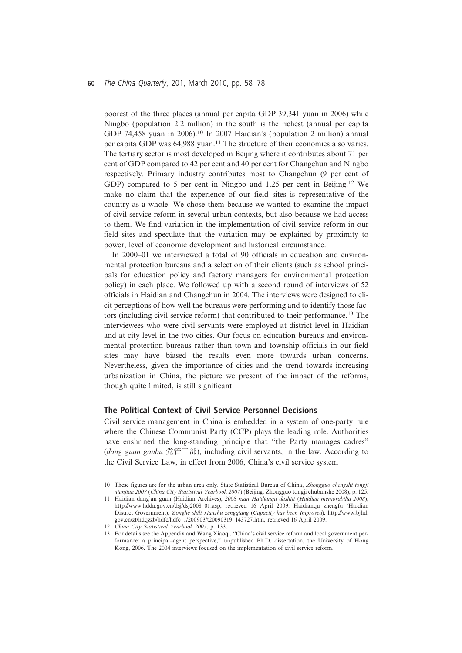#### <sup>60</sup> The China Quarterly, 201, March 2010, pp. 58–<sup>78</sup>

poorest of the three places (annual per capita GDP 39,341 yuan in 2006) while Ningbo (population 2.2 million) in the south is the richest (annual per capita GDP 74,458 yuan in 2006).<sup>10</sup> In 2007 Haidian's (population 2 million) annual per capita GDP was 64,988 yuan.<sup>11</sup> The structure of their economies also varies. The tertiary sector is most developed in Beijing where it contributes about 71 per cent of GDP compared to 42 per cent and 40 per cent for Changchun and Ningbo respectively. Primary industry contributes most to Changchun (9 per cent of GDP) compared to 5 per cent in Ningbo and 1.25 per cent in Beijing.<sup>12</sup> We make no claim that the experience of our field sites is representative of the country as a whole. We chose them because we wanted to examine the impact of civil service reform in several urban contexts, but also because we had access to them. We find variation in the implementation of civil service reform in our field sites and speculate that the variation may be explained by proximity to power, level of economic development and historical circumstance.

In 2000–01 we interviewed a total of 90 officials in education and environmental protection bureaus and a selection of their clients (such as school principals for education policy and factory managers for environmental protection policy) in each place. We followed up with a second round of interviews of 52 officials in Haidian and Changchun in 2004. The interviews were designed to elicit perceptions of how well the bureaus were performing and to identify those factors (including civil service reform) that contributed to their performance.<sup>13</sup> The interviewees who were civil servants were employed at district level in Haidian and at city level in the two cities. Our focus on education bureaus and environmental protection bureaus rather than town and township officials in our field sites may have biased the results even more towards urban concerns. Nevertheless, given the importance of cities and the trend towards increasing urbanization in China, the picture we present of the impact of the reforms, though quite limited, is still significant.

## The Political Context of Civil Service Personnel Decisions

Civil service management in China is embedded in a system of one-party rule where the Chinese Communist Party (CCP) plays the leading role. Authorities have enshrined the long-standing principle that "the Party manages cadres" (dang guan ganbu 党管干部), including civil servants, in the law. According to the Civil Service Law, in effect from 2006, China's civil service system

<sup>10</sup> These figures are for the urban area only. State Statistical Bureau of China, Zhongguo chengshi tongji nianjian 2007 (China City Statistical Yearbook 2007) (Beijing: Zhongguo tongji chubanshe 2008), p. 125.

<sup>11</sup> Haidian dang'an guan (Haidian Archives), 2008 nian Haidianqu dashiji (Haidian memorabilia 2008), http://www.hdda.gov.cn/dsj/dsj2008\_01.asp, retrieved 16 April 2009. Haidianqu zhengfu (Haidian District Government), Zonghe shili xianzhu zengqiang (Capacity has been Improved), http://www.bjhd. gov.cn/zt/hdqzzb/hdfc/hdfc\_1/200903/t20090319\_143727.htm, retrieved 16 April 2009.

<sup>12</sup> China City Statistical Yearbook 2007, p. 133.

<sup>13</sup> For details see the Appendix and Wang Xiaoqi, "China's civil service reform and local government performance: a principal–agent perspective," unpublished Ph.D. dissertation, the University of Hong Kong, 2006. The 2004 interviews focused on the implementation of civil service reform.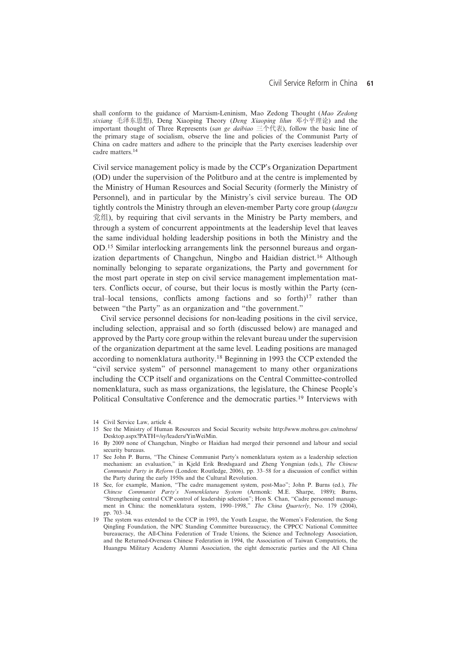shall conform to the guidance of Marxism-Leninism, Mao Zedong Thought (Mao Zedong sixiang 毛泽东思想), Deng Xiaoping Theory (Deng Xiaoping lilun 邓小平理论) and the important thought of Three Represents (san ge daibiao 三个代表), follow the basic line of the primary stage of socialism, observe the line and policies of the Communist Party of China on cadre matters and adhere to the principle that the Party exercises leadership over cadre matters.<sup>14</sup>

Civil service management policy is made by the CCP's Organization Department (OD) under the supervision of the Politburo and at the centre is implemented by the Ministry of Human Resources and Social Security (formerly the Ministry of Personnel), and in particular by the Ministry's civil service bureau. The OD tightly controls the Ministry through an eleven-member Party core group (dangzu 党组), by requiring that civil servants in the Ministry be Party members, and through a system of concurrent appointments at the leadership level that leaves the same individual holding leadership positions in both the Ministry and the OD.<sup>15</sup> Similar interlocking arrangements link the personnel bureaus and organization departments of Changchun, Ningbo and Haidian district.<sup>16</sup> Although nominally belonging to separate organizations, the Party and government for the most part operate in step on civil service management implementation matters. Conflicts occur, of course, but their locus is mostly within the Party (central–local tensions, conflicts among factions and so forth $]^{17}$  rather than between "the Party" as an organization and "the government."

Civil service personnel decisions for non-leading positions in the civil service, including selection, appraisal and so forth (discussed below) are managed and approved by the Party core group within the relevant bureau under the supervision of the organization department at the same level. Leading positions are managed according to nomenklatura authority.18 Beginning in 1993 the CCP extended the "civil service system" of personnel management to many other organizations including the CCP itself and organizations on the Central Committee-controlled nomenklatura, such as mass organizations, the legislature, the Chinese People's Political Consultative Conference and the democratic parties.<sup>19</sup> Interviews with

<sup>14</sup> Civil Service Law, article 4.

<sup>15</sup> See the Ministry of Human Resources and Social Security website http://www.mohrss.gov.cn/mohrss/ Desktop.aspx?PATH=/sy/leaders/YinWeiMin.

<sup>16</sup> By 2009 none of Changchun, Ningbo or Haidian had merged their personnel and labour and social security bureaus.

<sup>17</sup> See John P. Burns, "The Chinese Communist Party's nomenklatura system as a leadership selection mechanism: an evaluation," in Kjeld Erik Brødsgaard and Zheng Yongnian (eds.), The Chinese Communist Party in Reform (London: Routledge, 2006), pp. 33–58 for a discussion of conflict within the Party during the early 1950s and the Cultural Revolution.

<sup>18</sup> See, for example, Manion, "The cadre management system, post-Mao"; John P. Burns (ed.), The Chinese Communist Party's Nomenklatura System (Armonk: M.E. Sharpe, 1989); Burns, "Strengthening central CCP control of leadership selection"; Hon S. Chan, "Cadre personnel management in China: the nomenklatura system, 1990–1998," The China Quarterly, No. 179 (2004), pp. 703–34.

<sup>19</sup> The system was extended to the CCP in 1993, the Youth League, the Women's Federation, the Song Qingling Foundation, the NPC Standing Committee bureaucracy, the CPPCC National Committee bureaucracy, the All-China Federation of Trade Unions, the Science and Technology Association, and the Returned-Overseas Chinese Federation in 1994, the Association of Taiwan Compatriots, the Huangpu Military Academy Alumni Association, the eight democratic parties and the All China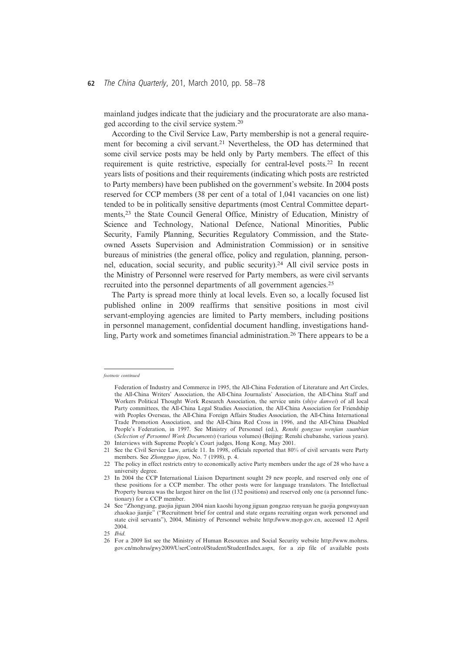## <sup>62</sup> The China Quarterly, 201, March 2010, pp. 58–<sup>78</sup>

mainland judges indicate that the judiciary and the procuratorate are also managed according to the civil service system.<sup>20</sup>

According to the Civil Service Law, Party membership is not a general requirement for becoming a civil servant.21 Nevertheless, the OD has determined that some civil service posts may be held only by Party members. The effect of this requirement is quite restrictive, especially for central-level posts.22 In recent years lists of positions and their requirements (indicating which posts are restricted to Party members) have been published on the government's website. In 2004 posts reserved for CCP members (38 per cent of a total of 1,041 vacancies on one list) tended to be in politically sensitive departments (most Central Committee departments,23 the State Council General Office, Ministry of Education, Ministry of Science and Technology, National Defence, National Minorities, Public Security, Family Planning, Securities Regulatory Commission, and the Stateowned Assets Supervision and Administration Commission) or in sensitive bureaus of ministries (the general office, policy and regulation, planning, personnel, education, social security, and public security).24 All civil service posts in the Ministry of Personnel were reserved for Party members, as were civil servants recruited into the personnel departments of all government agencies.25

The Party is spread more thinly at local levels. Even so, a locally focused list published online in 2009 reaffirms that sensitive positions in most civil servant-employing agencies are limited to Party members, including positions in personnel management, confidential document handling, investigations handling, Party work and sometimes financial administration.<sup>26</sup> There appears to be a

footnote continued

Federation of Industry and Commerce in 1995, the All-China Federation of Literature and Art Circles, the All-China Writers' Association, the All-China Journalists' Association, the All-China Staff and Workers Political Thought Work Research Association, the service units (shiye danwei) of all local Party committees, the All-China Legal Studies Association, the All-China Association for Friendship with Peoples Overseas, the All-China Foreign Affairs Studies Association, the All-China International Trade Promotion Association, and the All-China Red Cross in 1996, and the All-China Disabled People's Federation, in 1997. See Ministry of Personnel (ed.), Renshi gongzuo wenjian xuanbian (Selection of Personnel Work Documents) (various volumes) (Beijing: Renshi chubanshe, various years). 20 Interviews with Supreme People's Court judges, Hong Kong, May 2001.

<sup>21</sup> See the Civil Service Law, article 11. In 1998, officials reported that 80% of civil servants were Party members. See Zhongguo jigou, No. 7 (1998), p. 4.

<sup>22</sup> The policy in effect restricts entry to economically active Party members under the age of 28 who have a university degree.

<sup>23</sup> In 2004 the CCP International Liaison Department sought 29 new people, and reserved only one of these positions for a CCP member. The other posts were for language translators. The Intellectual Property bureau was the largest hirer on the list (132 positions) and reserved only one (a personnel functionary) for a CCP member.

<sup>24</sup> See "Zhongyang, guojia jiguan 2004 nian kaoshi luyong jiguan gongzuo renyuan he guojia gongwuyuan zhaokao jianjie" ("Recruitment brief for central and state organs recruiting organ work personnel and state civil servants"), 2004, Ministry of Personnel website http://www.mop.gov.cn, accessed 12 April 2004.

<sup>25</sup> Ibid.

<sup>26</sup> For a 2009 list see the Ministry of Human Resources and Social Security website http://www.mohrss. gov.cn/mohrss/gwy2009/UserControl/Student/StudentIndex.aspx, for a zip file of available posts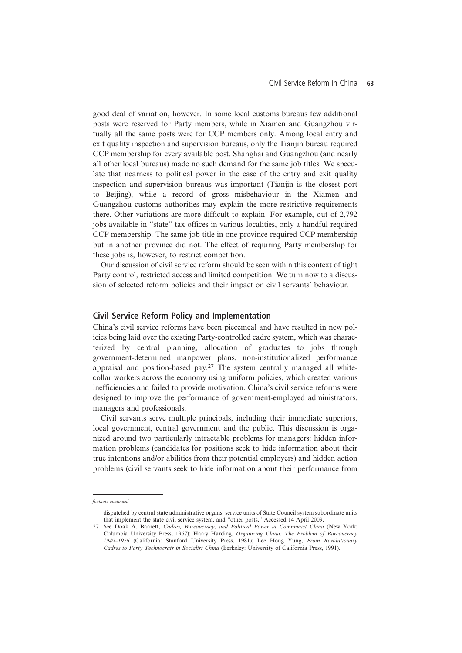good deal of variation, however. In some local customs bureaus few additional posts were reserved for Party members, while in Xiamen and Guangzhou virtually all the same posts were for CCP members only. Among local entry and exit quality inspection and supervision bureaus, only the Tianjin bureau required CCP membership for every available post. Shanghai and Guangzhou (and nearly all other local bureaus) made no such demand for the same job titles. We speculate that nearness to political power in the case of the entry and exit quality inspection and supervision bureaus was important (Tianjin is the closest port to Beijing), while a record of gross misbehaviour in the Xiamen and Guangzhou customs authorities may explain the more restrictive requirements there. Other variations are more difficult to explain. For example, out of 2,792 jobs available in "state" tax offices in various localities, only a handful required CCP membership. The same job title in one province required CCP membership but in another province did not. The effect of requiring Party membership for these jobs is, however, to restrict competition.

Our discussion of civil service reform should be seen within this context of tight Party control, restricted access and limited competition. We turn now to a discussion of selected reform policies and their impact on civil servants' behaviour.

#### Civil Service Reform Policy and Implementation

China's civil service reforms have been piecemeal and have resulted in new policies being laid over the existing Party-controlled cadre system, which was characterized by central planning, allocation of graduates to jobs through government-determined manpower plans, non-institutionalized performance appraisal and position-based  $pay.^{27}$ . The system centrally managed all whitecollar workers across the economy using uniform policies, which created various inefficiencies and failed to provide motivation. China's civil service reforms were designed to improve the performance of government-employed administrators, managers and professionals.

Civil servants serve multiple principals, including their immediate superiors, local government, central government and the public. This discussion is organized around two particularly intractable problems for managers: hidden information problems (candidates for positions seek to hide information about their true intentions and/or abilities from their potential employers) and hidden action problems (civil servants seek to hide information about their performance from

footnote continued

dispatched by central state administrative organs, service units of State Council system subordinate units that implement the state civil service system, and "other posts." Accessed 14 April 2009.

<sup>27</sup> See Doak A. Barnett, Cadres, Bureaucracy, and Political Power in Communist China (New York: Columbia University Press, 1967); Harry Harding, Organizing China: The Problem of Bureaucracy 1949–1976 (California: Stanford University Press, 1981); Lee Hong Yung, From Revolutionary Cadres to Party Technocrats in Socialist China (Berkeley: University of California Press, 1991).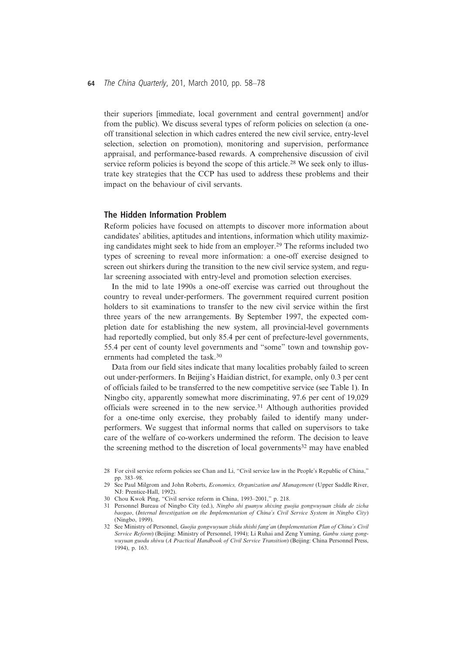#### <sup>64</sup> The China Quarterly, 201, March 2010, pp. 58–<sup>78</sup>

their superiors [immediate, local government and central government] and/or from the public). We discuss several types of reform policies on selection (a oneoff transitional selection in which cadres entered the new civil service, entry-level selection, selection on promotion), monitoring and supervision, performance appraisal, and performance-based rewards. A comprehensive discussion of civil service reform policies is beyond the scope of this article.<sup>28</sup> We seek only to illustrate key strategies that the CCP has used to address these problems and their impact on the behaviour of civil servants.

#### The Hidden Information Problem

Reform policies have focused on attempts to discover more information about candidates' abilities, aptitudes and intentions, information which utility maximizing candidates might seek to hide from an employer.29 The reforms included two types of screening to reveal more information: a one-off exercise designed to screen out shirkers during the transition to the new civil service system, and regular screening associated with entry-level and promotion selection exercises.

In the mid to late 1990s a one-off exercise was carried out throughout the country to reveal under-performers. The government required current position holders to sit examinations to transfer to the new civil service within the first three years of the new arrangements. By September 1997, the expected completion date for establishing the new system, all provincial-level governments had reportedly complied, but only 85.4 per cent of prefecture-level governments, 55.4 per cent of county level governments and "some" town and township governments had completed the task.<sup>30</sup>

Data from our field sites indicate that many localities probably failed to screen out under-performers. In Beijing's Haidian district, for example, only 0.3 per cent of officials failed to be transferred to the new competitive service (see Table 1). In Ningbo city, apparently somewhat more discriminating, 97.6 per cent of 19,029 officials were screened in to the new service.<sup>31</sup> Although authorities provided for a one-time only exercise, they probably failed to identify many underperformers. We suggest that informal norms that called on supervisors to take care of the welfare of co-workers undermined the reform. The decision to leave the screening method to the discretion of local governments<sup>32</sup> may have enabled

- 30 Chou Kwok Ping, "Civil service reform in China, 1993–2001," p. 218.
- 31 Personnel Bureau of Ningbo City (ed.), Ningbo shi guanyu shixing guojia gongwuyuan zhidu de zicha baogao, (Internal Investigation on the Implementation of China's Civil Service System in Ningbo City) (Ningbo, 1999).

<sup>28</sup> For civil service reform policies see Chan and Li, "Civil service law in the People's Republic of China," pp. 383–98.

<sup>29</sup> See Paul Milgrom and John Roberts, Economics, Organization and Management (Upper Saddle River, NJ: Prentice-Hall, 1992).

<sup>32</sup> See Ministry of Personnel, Guojia gongwuyuan zhidu shishi fang'an (Implementation Plan of China's Civil Service Reform) (Beijing: Ministry of Personnel, 1994); Li Ruhai and Zeng Yuming, Ganbu xiang gongwuyuan guodu shiwu (A Practical Handbook of Civil Service Transition) (Beijing: China Personnel Press, 1994), p. 163.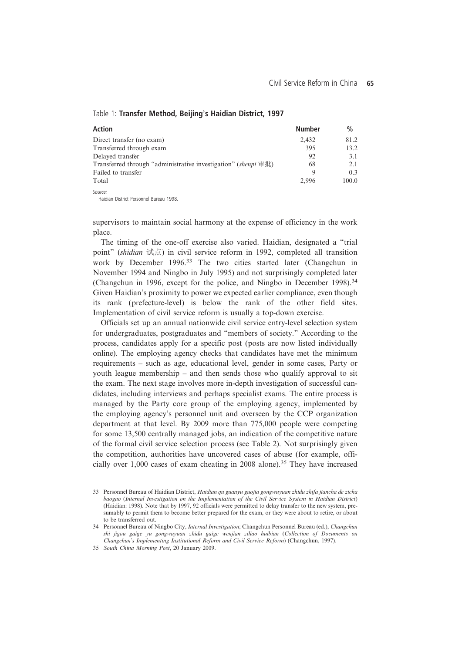| <b>Action</b>                                                          | <b>Number</b> | $\frac{0}{0}$ |
|------------------------------------------------------------------------|---------------|---------------|
| Direct transfer (no exam)                                              | 2,432         | 81.2          |
| Transferred through exam                                               | 395           | 13.2          |
| Delayed transfer                                                       | 92            | 3.1           |
| Transferred through "administrative investigation" ( <i>shenpi</i> 审批) | 68            | 2.1           |
| Failed to transfer                                                     | 9             | 0.3           |
| Total                                                                  | 2.996         | 100.0         |

## Table 1: Transfer Method, Beijing's Haidian District, 1997

Source

Source: Haidian District Personnel Bureau 1998.

supervisors to maintain social harmony at the expense of efficiency in the work place.

The timing of the one-off exercise also varied. Haidian, designated a "trial point" (shidian 试点) in civil service reform in 1992, completed all transition work by December 1996.<sup>33</sup> The two cities started later (Changchun in November 1994 and Ningbo in July 1995) and not surprisingly completed later (Changchun in 1996, except for the police, and Ningbo in December 1998).<sup>34</sup> Given Haidian's proximity to power we expected earlier compliance, even though its rank (prefecture-level) is below the rank of the other field sites. Implementation of civil service reform is usually a top-down exercise.

Officials set up an annual nationwide civil service entry-level selection system for undergraduates, postgraduates and "members of society." According to the process, candidates apply for a specific post (posts are now listed individually online). The employing agency checks that candidates have met the minimum requirements – such as age, educational level, gender in some cases, Party or youth league membership – and then sends those who qualify approval to sit the exam. The next stage involves more in-depth investigation of successful candidates, including interviews and perhaps specialist exams. The entire process is managed by the Party core group of the employing agency, implemented by the employing agency's personnel unit and overseen by the CCP organization department at that level. By 2009 more than 775,000 people were competing for some 13,500 centrally managed jobs, an indication of the competitive nature of the formal civil service selection process (see Table 2). Not surprisingly given the competition, authorities have uncovered cases of abuse (for example, officially over 1,000 cases of exam cheating in 2008 alone).<sup>35</sup> They have increased

34 Personnel Bureau of Ningbo City, Internal Investigation; Changchun Personnel Bureau (ed.), Changchun shi jigou gaige yu gongwuyuan zhidu gaige wenjian ziliao huibian (Collection of Documents on Changchun's Implementing Institutional Reform and Civil Service Reform) (Changchun, 1997).

35 South China Morning Post, 20 January 2009.

<sup>33</sup> Personnel Bureau of Haidian District, Haidian qu guanyu guojia gongwuyuan zhidu zhifa jiancha de zicha baogao (Internal Investigation on the Implementation of the Civil Service System in Haidian District) (Haidian: 1998). Note that by 1997, 92 officials were permitted to delay transfer to the new system, presumably to permit them to become better prepared for the exam, or they were about to retire, or about to be transferred out.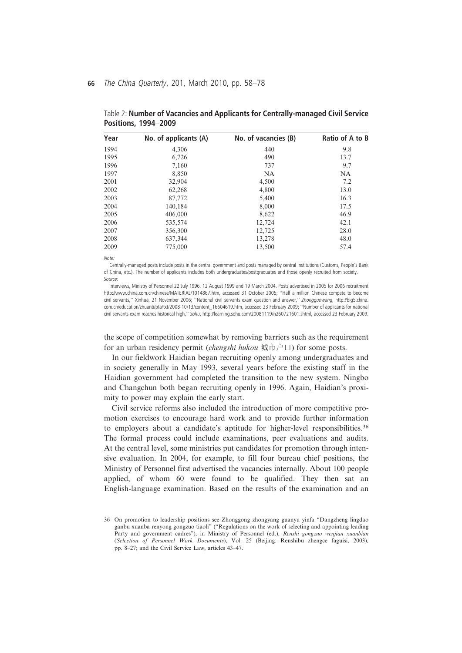| Year | No. of applicants (A) | No. of vacancies (B) | Ratio of A to B |
|------|-----------------------|----------------------|-----------------|
| 1994 | 4,306                 | 440                  | 9.8             |
| 1995 | 6.726                 | 490                  | 13.7            |
| 1996 | 7.160                 | 737                  | 9.7             |
| 1997 | 8,850                 | NA                   | <b>NA</b>       |
| 2001 | 32,904                | 4,500                | 7.2             |
| 2002 | 62,268                | 4,800                | 13.0            |
| 2003 | 87,772                | 5,400                | 16.3            |
| 2004 | 140,184               | 8,000                | 17.5            |
| 2005 | 406,000               | 8,622                | 46.9            |
| 2006 | 535,574               | 12,724               | 42.1            |
| 2007 | 356,300               | 12,725               | 28.0            |
| 2008 | 637,344               | 13,278               | 48.0            |
| 2009 | 775,000               | 13,500               | 57.4            |

Table 2: Number of Vacancies and Applicants for Centrally-managed Civil Service Positions, 1994–2009

 $M \cap t \circ$ 

......<br>Centrally-managed posts include posts in the central government and posts managed by central institutions (Customs, People's Bank of China, etc.). The number of applicants includes both undergraduates/postgraduates and those openly recruited from society. Source

Source: Interviews, Ministry of Personnel 22 July 1996, 12 August 1999 and 19 March 2004. Posts advertised in 2005 for 2006 recruitment http://www.china.com.cn/chinese/MATERIAL/1014867.htm, accessed 31 October 2005; "Half a million Chinese compete to become civil servants," Xinhua, 21 November 2006; "National civil servants exam question and answer," Zhongguowang, http://big5.china. com.cn/education/zhuanti/pta/txt/2008-10/13/content\_16604619.htm, accessed 23 February 2009; "Number of applicants for national civil servants exam reaches historical high," Sohu, http://learning.sohu.com/20081119/n260721601.shtml, accessed 23 February 2009.

the scope of competition somewhat by removing barriers such as the requirement for an urban residency permit (*chengshi hukou* 城市户口) for some posts.

In our fieldwork Haidian began recruiting openly among undergraduates and in society generally in May 1993, several years before the existing staff in the Haidian government had completed the transition to the new system. Ningbo and Changchun both began recruiting openly in 1996. Again, Haidian's proximity to power may explain the early start.

Civil service reforms also included the introduction of more competitive promotion exercises to encourage hard work and to provide further information to employers about a candidate's aptitude for higher-level responsibilities.<sup>36</sup> The formal process could include examinations, peer evaluations and audits. At the central level, some ministries put candidates for promotion through intensive evaluation. In 2004, for example, to fill four bureau chief positions, the Ministry of Personnel first advertised the vacancies internally. About 100 people applied, of whom 60 were found to be qualified. They then sat an English-language examination. Based on the results of the examination and an

<sup>36</sup> On promotion to leadership positions see Zhonggong zhongyang guanyu yinfa "Dangzheng lingdao ganbu xuanba renyong gongzuo tiaoli" ("Regulations on the work of selecting and appointing leading Party and government cadres"), in Ministry of Personnel (ed.), Renshi gongzuo wenjian xuanbian (Selection of Personnel Work Documents), Vol. 25 (Beijing: Renshibu zhengce faguisi, 2003), pp. 8–27; and the Civil Service Law, articles 43–47.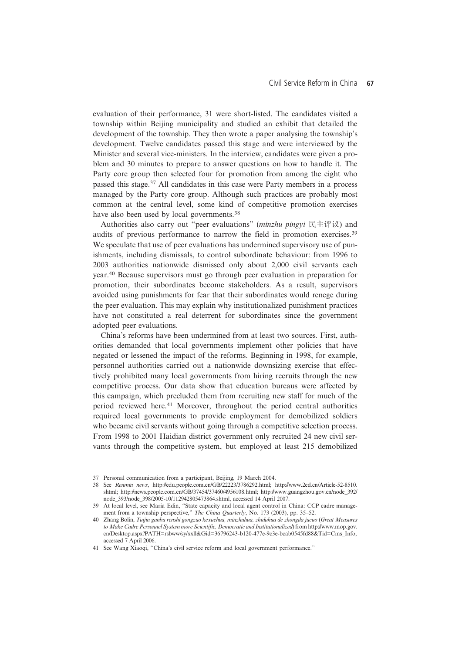evaluation of their performance, 31 were short-listed. The candidates visited a township within Beijing municipality and studied an exhibit that detailed the development of the township. They then wrote a paper analysing the township's development. Twelve candidates passed this stage and were interviewed by the Minister and several vice-ministers. In the interview, candidates were given a problem and 30 minutes to prepare to answer questions on how to handle it. The Party core group then selected four for promotion from among the eight who passed this stage.<sup>37</sup> All candidates in this case were Party members in a process managed by the Party core group. Although such practices are probably most common at the central level, some kind of competitive promotion exercises have also been used by local governments.<sup>38</sup>

Authorities also carry out "peer evaluations" (minzhu pingyi 民主评议) and audits of previous performance to narrow the field in promotion exercises.<sup>39</sup> We speculate that use of peer evaluations has undermined supervisory use of punishments, including dismissals, to control subordinate behaviour: from 1996 to 2003 authorities nationwide dismissed only about 2,000 civil servants each year.<sup>40</sup> Because supervisors must go through peer evaluation in preparation for promotion, their subordinates become stakeholders. As a result, supervisors avoided using punishments for fear that their subordinates would renege during the peer evaluation. This may explain why institutionalized punishment practices have not constituted a real deterrent for subordinates since the government adopted peer evaluations.

China's reforms have been undermined from at least two sources. First, authorities demanded that local governments implement other policies that have negated or lessened the impact of the reforms. Beginning in 1998, for example, personnel authorities carried out a nationwide downsizing exercise that effectively prohibited many local governments from hiring recruits through the new competitive process. Our data show that education bureaus were affected by this campaign, which precluded them from recruiting new staff for much of the period reviewed here.41 Moreover, throughout the period central authorities required local governments to provide employment for demobilized soldiers who became civil servants without going through a competitive selection process. From 1998 to 2001 Haidian district government only recruited 24 new civil servants through the competitive system, but employed at least 215 demobilized

<sup>37</sup> Personal communication from a participant, Beijing, 19 March 2004.

<sup>38</sup> See Renmin news, http://edu.people.com.cn/GB/22223/3786292.html; http://www.2ed.cn/Article-52-8510. shtml; http://news.people.com.cn/GB/37454/37460/4956108.html; http://www.guangzhou.gov.cn/node\_392/ node\_393/node\_398/2005-10/112942805473864.shtml, accessed 14 April 2007.

<sup>39</sup> At local level, see Maria Edin, "State capacity and local agent control in China: CCP cadre management from a township perspective," The China Quarterly, No. 173 (2003), pp. 35-52.

<sup>40</sup> Zhang Bolin, Tuijin ganbu renshi gongzuo kexuehua, minzhuhua, zhiduhua de zhongda jucuo (Great Measures to Make Cadre Personnel System more Scientific, Democratic and Institutionalized) from http://www.mop.gov. cn/Desktop.aspx?PATH=rsbww/sy/xxll&Gid=36796243-b120-477e-9c3e-bcab0545fd88&Tid=Cms\_Info, accessed 7 April 2006.

<sup>41</sup> See Wang Xiaoqi, "China's civil service reform and local government performance."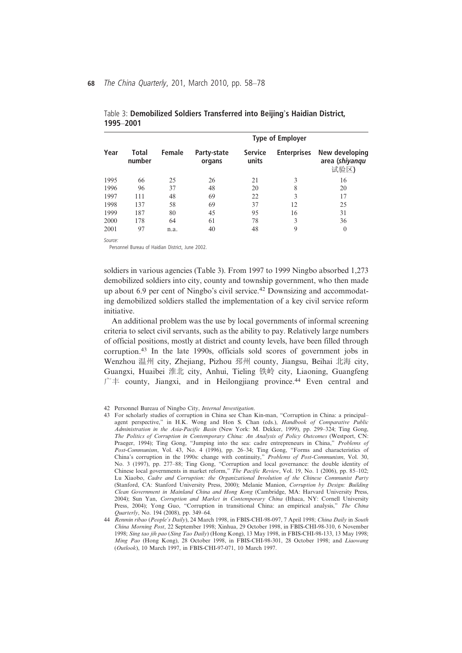| Year |                 |        |                       | <b>Type of Employer</b> |                    |                                          |
|------|-----------------|--------|-----------------------|-------------------------|--------------------|------------------------------------------|
|      | Total<br>number | Female | Party-state<br>organs | <b>Service</b><br>units | <b>Enterprises</b> | New developing<br>area (shiyanqu<br>试验区) |
| 1995 | 66              | 25     | 26                    | 21                      | 3                  | 16                                       |
| 1996 | 96              | 37     | 48                    | 20                      | 8                  | 20                                       |
| 1997 | 111             | 48     | 69                    | 22                      | 3                  | 17                                       |
| 1998 | 137             | 58     | 69                    | 37                      | 12                 | 25                                       |
| 1999 | 187             | 80     | 45                    | 95                      | 16                 | 31                                       |
| 2000 | 178             | 64     | 61                    | 78                      | 3                  | 36                                       |
| 2001 | 97              | n.a.   | 40                    | 48                      | 9                  | $\Omega$                                 |

Table 3: Demobilized Soldiers Transferred into Beijing's Haidian District, 1995–2001

Source

Personnel Bureau of Haidian District, June 2002.

soldiers in various agencies (Table 3). From 1997 to 1999 Ningbo absorbed 1,273 demobilized soldiers into city, county and township government, who then made up about 6.9 per cent of Ningbo's civil service.<sup>42</sup> Downsizing and accommodating demobilized soldiers stalled the implementation of a key civil service reform initiative.

An additional problem was the use by local governments of informal screening criteria to select civil servants, such as the ability to pay. Relatively large numbers of official positions, mostly at district and county levels, have been filled through corruption.<sup>43</sup> In the late 1990s, officials sold scores of government jobs in Wenzhou 温州 city, Zhejiang, Pizhou 邳州 county, Jiangsu, Beihai 北海 city, Guangxi, Huaibei 淮北 city, Anhui, Tieling 铁岭 city, Liaoning, Guangfeng  $\Gamma \neq$  county, Jiangxi, and in Heilongjiang province.<sup>44</sup> Even central and

<sup>42</sup> Personnel Bureau of Ningbo City, Internal Investigation.

<sup>43</sup> For scholarly studies of corruption in China see Chan Kin-man, "Corruption in China: a principal– agent perspective," in H.K. Wong and Hon S. Chan (eds.), Handbook of Comparative Public Administration in the Asia-Pacific Basin (New York: M. Dekker, 1999), pp. 299–324; Ting Gong, The Politics of Corruption in Contemporary China: An Analysis of Policy Outcomes (Westport, CN: Praeger, 1994); Ting Gong, "Jumping into the sea: cadre entrepreneurs in China," Problems of Post-Communism, Vol. 43, No. 4 (1996), pp. 26-34; Ting Gong, "Forms and characteristics of China's corruption in the 1990s: change with continuity," Problems of Post-Communism, Vol. 30, No. 3 (1997), pp. 277–88; Ting Gong, "Corruption and local governance: the double identity of Chinese local governments in market reform," The Pacific Review, Vol. 19, No. 1 (2006), pp. 85–102; Lu Xiaobo, Cadre and Corruption: the Organizational Involution of the Chinese Communist Party (Stanford, CA: Stanford University Press, 2000); Melanie Manion, Corruption by Design: Building Clean Government in Mainland China and Hong Kong (Cambridge, MA: Harvard University Press, 2004); Sun Yan, Corruption and Market in Contemporary China (Ithaca, NY: Cornell University Press, 2004); Yong Guo, "Corruption in transitional China: an empirical analysis," The China Quarterly, No. 194 (2008), pp. 349–64.

<sup>44</sup> Renmin ribao (People's Daily), 24 March 1998, in FBIS-CHI-98-097, 7 April 1998; China Daily in South China Morning Post, 22 September 1998; Xinhua, 29 October 1998, in FBIS-CHI-98-310, 6 November 1998; Sing tao jih pao (Sing Tao Daily) (Hong Kong), 13 May 1998, in FBIS-CHI-98-133, 13 May 1998; Ming Pao (Hong Kong), 28 October 1998, in FBIS-CHI-98-301, 28 October 1998; and Liaowang (Outlook), 10 March 1997, in FBIS-CHI-97-071, 10 March 1997.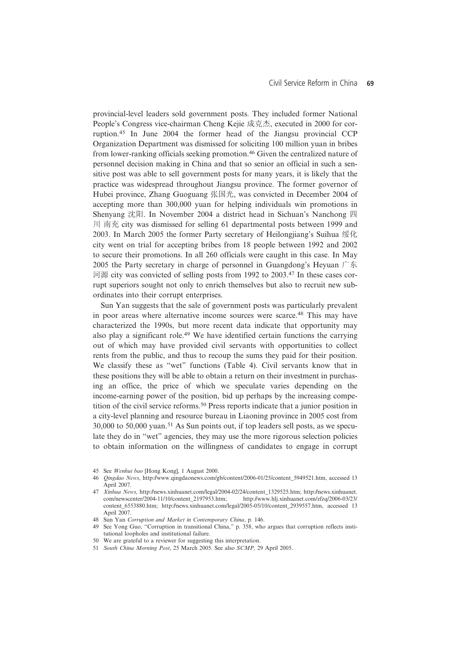provincial-level leaders sold government posts. They included former National People's Congress vice-chairman Cheng Kejie 成克杰, executed in 2000 for corruption.<sup>45</sup> In June 2004 the former head of the Jiangsu provincial CCP Organization Department was dismissed for soliciting 100 million yuan in bribes from lower-ranking officials seeking promotion.46 Given the centralized nature of personnel decision making in China and that so senior an official in such a sensitive post was able to sell government posts for many years, it is likely that the practice was widespread throughout Jiangsu province. The former governor of Hubei province, Zhang Guoguang 张国光, was convicted in December 2004 of accepting more than 300,000 yuan for helping individuals win promotions in Shenyang 沈阳. In November 2004 a district head in Sichuan's Nanchong 四 川 南充 city was dismissed for selling 61 departmental posts between 1999 and 2003. In March 2005 the former Party secretary of Heilongjiang's Suihua 绥化 city went on trial for accepting bribes from 18 people between 1992 and 2002 to secure their promotions. In all 260 officials were caught in this case. In May 2005 the Party secretary in charge of personnel in Guangdong's Heyuan 广东 河源 city was convicted of selling posts from 1992 to 2003.<sup>47</sup> In these cases corrupt superiors sought not only to enrich themselves but also to recruit new subordinates into their corrupt enterprises.

Sun Yan suggests that the sale of government posts was particularly prevalent in poor areas where alternative income sources were scarce.48 This may have characterized the 1990s, but more recent data indicate that opportunity may also play a significant role.49 We have identified certain functions the carrying out of which may have provided civil servants with opportunities to collect rents from the public, and thus to recoup the sums they paid for their position. We classify these as "wet" functions (Table 4). Civil servants know that in these positions they will be able to obtain a return on their investment in purchasing an office, the price of which we speculate varies depending on the income-earning power of the position, bid up perhaps by the increasing competition of the civil service reforms.<sup>50</sup> Press reports indicate that a junior position in a city-level planning and resource bureau in Liaoning province in 2005 cost from 30,000 to 50,000 yuan.<sup>51</sup> As Sun points out, if top leaders sell posts, as we speculate they do in "wet" agencies, they may use the more rigorous selection policies to obtain information on the willingness of candidates to engage in corrupt

- 45 See Wenhui bao [Hong Kong], 1 August 2000.
- 46 Qingdao News, http://www.qingdaonews.com/gb/content/2006-01/25/content\_5949521.htm, accessed 13 April 2007.
- 47 Xinhua News, http://news.xinhuanet.com/legal/2004-02/24/content\_1329525.htm; http://news.xinhuanet.com/newscenter/2004-11/10/content 2197953.htm; http://www.hli.xinhuanet.com/zfzq/2006-03/23/ http://www.hlj.xinhuanet.com/zfzq/2006-03/23/ content\_6553880.htm; http://news.xinhuanet.com/legal/2005-05/10/content\_2939557.htm, accessed 13 April 2007.
- 48 Sun Yan Corruption and Market in Contemporary China, p. 146.
- 49 See Yong Guo, "Corruption in transitional China," p. 358, who argues that corruption reflects institutional loopholes and institutional failure.
- 50 We are grateful to a reviewer for suggesting this interpretation.
- 51 South China Morning Post, 25 March 2005. See also SCMP, 29 April 2005.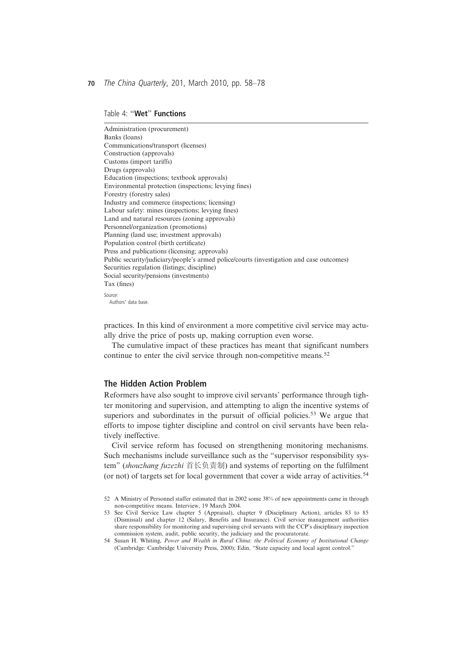## Table 4: "Wet" Functions

Administration (procurement) Banks (loans) Communications/transport (licenses) Construction (approvals) Customs (import tariffs) Drugs (approvals) Education (inspections; textbook approvals) Environmental protection (inspections; levying fines) Forestry (forestry sales) Industry and commerce (inspections; licensing) Labour safety: mines (inspections; levying fines) Land and natural resources (zoning approvals) Personnel/organization (promotions) Planning (land use; investment approvals) Population control (birth certificate) Press and publications (licensing; approvals) Public security/judiciary/people's armed police/courts (investigation and case outcomes) Securities regulation (listings; discipline) Social security/pensions (investments) Tax (fines) *Source* 

Authors' data base.

practices. In this kind of environment a more competitive civil service may actually drive the price of posts up, making corruption even worse.

The cumulative impact of these practices has meant that significant numbers continue to enter the civil service through non-competitive means.<sup>52</sup>

## The Hidden Action Problem

Reformers have also sought to improve civil servants' performance through tighter monitoring and supervision, and attempting to align the incentive systems of superiors and subordinates in the pursuit of official policies.<sup>53</sup> We argue that efforts to impose tighter discipline and control on civil servants have been relatively ineffective.

Civil service reform has focused on strengthening monitoring mechanisms. Such mechanisms include surveillance such as the "supervisor responsibility system" (shouzhang fuzezhi 首长负责制) and systems of reporting on the fulfilment (or not) of targets set for local government that cover a wide array of activities.<sup>54</sup>

- 53 See Civil Service Law chapter 5 (Appraisal), chapter 9 (Disciplinary Action), articles 83 to 85 (Dismissal) and chapter 12 (Salary, Benefits and Insurance). Civil service management authorities share responsibility for monitoring and supervising civil servants with the CCP's disciplinary inspection commission system, audit, public security, the judiciary and the procuratorate.
- 54 Susan H. Whiting, Power and Wealth in Rural China: the Political Economy of Institutional Change (Cambridge: Cambridge University Press, 2000); Edin, "State capacity and local agent control."

<sup>52</sup> A Ministry of Personnel staffer estimated that in 2002 some 38% of new appointments came in through non-competitive means. Interview, 19 March 2004.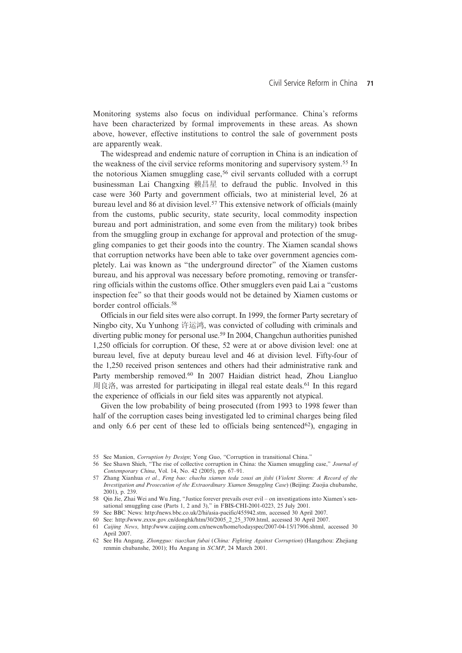Monitoring systems also focus on individual performance. China's reforms have been characterized by formal improvements in these areas. As shown above, however, effective institutions to control the sale of government posts are apparently weak.

The widespread and endemic nature of corruption in China is an indication of the weakness of the civil service reforms monitoring and supervisory system.<sup>55</sup> In the notorious Xiamen smuggling case,<sup>56</sup> civil servants colluded with a corrupt businessman Lai Changxing 赖昌星 to defraud the public. Involved in this case were 360 Party and government officials, two at ministerial level, 26 at bureau level and 86 at division level.57 This extensive network of officials (mainly from the customs, public security, state security, local commodity inspection bureau and port administration, and some even from the military) took bribes from the smuggling group in exchange for approval and protection of the smuggling companies to get their goods into the country. The Xiamen scandal shows that corruption networks have been able to take over government agencies completely. Lai was known as "the underground director" of the Xiamen customs bureau, and his approval was necessary before promoting, removing or transferring officials within the customs office. Other smugglers even paid Lai a "customs inspection fee" so that their goods would not be detained by Xiamen customs or border control officials.<sup>58</sup>

Officials in our field sites were also corrupt. In 1999, the former Party secretary of Ningbo city, Xu Yunhong 许运鸿, was convicted of colluding with criminals and diverting public money for personal use.59 In 2004, Changchun authorities punished 1,250 officials for corruption. Of these, 52 were at or above division level: one at bureau level, five at deputy bureau level and 46 at division level. Fifty-four of the 1,250 received prison sentences and others had their administrative rank and Party membership removed.60 In 2007 Haidian district head, Zhou Liangluo 周良洛, was arrested for participating in illegal real estate deals.<sup>61</sup> In this regard the experience of officials in our field sites was apparently not atypical.

Given the low probability of being prosecuted (from 1993 to 1998 fewer than half of the corruption cases being investigated led to criminal charges being filed and only 6.6 per cent of these led to officials being sentenced<sup>62</sup>), engaging in

<sup>55</sup> See Manion, Corruption by Design; Yong Guo, "Corruption in transitional China."

<sup>56</sup> See Shawn Shieh, "The rise of collective corruption in China: the Xiamen smuggling case," Journal of Contemporary China, Vol. 14, No. 42 (2005), pp. 67–91.

<sup>57</sup> Zhang Xianhua et al., Feng bao: chachu xiamen teda zousi an jishi (Violent Storm: A Record of the Investigation and Prosecution of the Extraordinary Xiamen Smuggling Case) (Beijing: Zuojia chubanshe, 2001), p. 239.

<sup>58</sup> Qin Jie, Zhai Wei and Wu Jing, "Justice forever prevails over evil – on investigations into Xiamen's sensational smuggling case (Parts 1, 2 and 3)," in FBIS-CHI-2001-0223, 25 July 2001.

<sup>59</sup> See BBC News: http://news.bbc.co.uk/2/hi/asia-pacific/455942.stm, accessed 30 April 2007.

<sup>60</sup> See: http://www.zxxw.gov.cn/donghk/htm/30/2005\_2\_25\_3709.html, accessed 30 April 2007.

<sup>61</sup> Caijing News, http://www.caijing.com.cn/newcn/home/todayspec/2007-04-15/17906.shtml, accessed 30 April 2007.

<sup>62</sup> See Hu Angang, Zhongguo: tiaozhan fubai (China: Fighting Against Corruption) (Hangzhou: Zhejiang renmin chubanshe, 2001); Hu Angang in SCMP, 24 March 2001.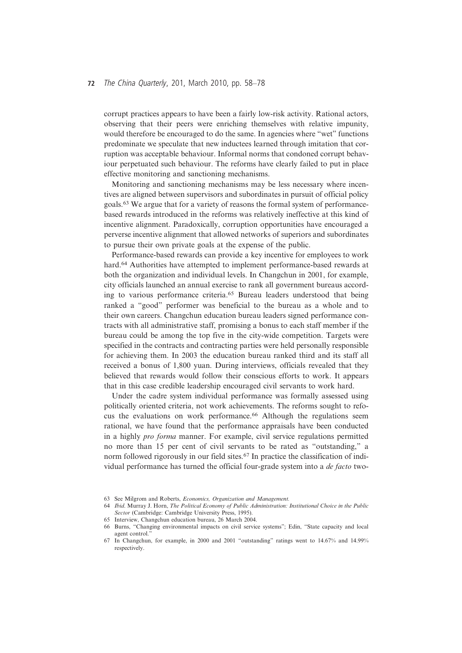## 72 The China Quarterly, 201, March 2010, pp. 58-78

corrupt practices appears to have been a fairly low-risk activity. Rational actors, observing that their peers were enriching themselves with relative impunity, would therefore be encouraged to do the same. In agencies where "wet" functions predominate we speculate that new inductees learned through imitation that corruption was acceptable behaviour. Informal norms that condoned corrupt behaviour perpetuated such behaviour. The reforms have clearly failed to put in place effective monitoring and sanctioning mechanisms.

Monitoring and sanctioning mechanisms may be less necessary where incentives are aligned between supervisors and subordinates in pursuit of official policy goals.<sup>63</sup> We argue that for a variety of reasons the formal system of performancebased rewards introduced in the reforms was relatively ineffective at this kind of incentive alignment. Paradoxically, corruption opportunities have encouraged a perverse incentive alignment that allowed networks of superiors and subordinates to pursue their own private goals at the expense of the public.

Performance-based rewards can provide a key incentive for employees to work hard.<sup>64</sup> Authorities have attempted to implement performance-based rewards at both the organization and individual levels. In Changchun in 2001, for example, city officials launched an annual exercise to rank all government bureaus according to various performance criteria.<sup>65</sup> Bureau leaders understood that being ranked a "good" performer was beneficial to the bureau as a whole and to their own careers. Changchun education bureau leaders signed performance contracts with all administrative staff, promising a bonus to each staff member if the bureau could be among the top five in the city-wide competition. Targets were specified in the contracts and contracting parties were held personally responsible for achieving them. In 2003 the education bureau ranked third and its staff all received a bonus of 1,800 yuan. During interviews, officials revealed that they believed that rewards would follow their conscious efforts to work. It appears that in this case credible leadership encouraged civil servants to work hard.

Under the cadre system individual performance was formally assessed using politically oriented criteria, not work achievements. The reforms sought to refocus the evaluations on work performance.<sup>66</sup> Although the regulations seem rational, we have found that the performance appraisals have been conducted in a highly pro forma manner. For example, civil service regulations permitted no more than 15 per cent of civil servants to be rated as "outstanding," a norm followed rigorously in our field sites.<sup>67</sup> In practice the classification of individual performance has turned the official four-grade system into a de facto two-

<sup>63</sup> See Milgrom and Roberts, Economics, Organization and Management.

<sup>64</sup> Ibid. Murray J. Horn, The Political Economy of Public Administration: Institutional Choice in the Public Sector (Cambridge: Cambridge University Press, 1995).

<sup>65</sup> Interview, Changchun education bureau, 26 March 2004.

<sup>66</sup> Burns, "Changing environmental impacts on civil service systems"; Edin, "State capacity and local agent control."

<sup>67</sup> In Changchun, for example, in 2000 and 2001 "outstanding" ratings went to 14.67% and 14.99% respectively.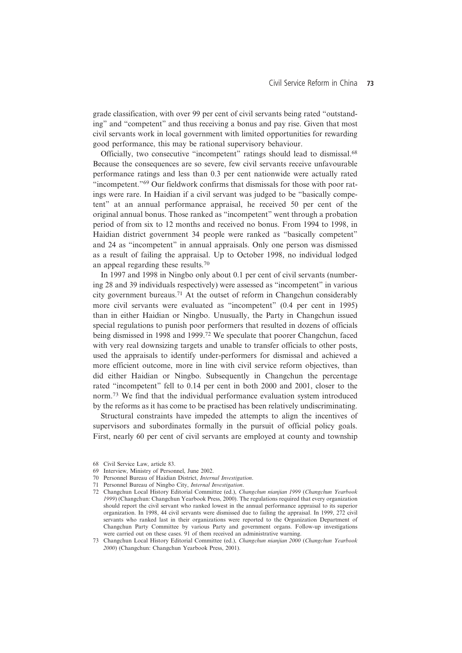grade classification, with over 99 per cent of civil servants being rated "outstanding" and "competent" and thus receiving a bonus and pay rise. Given that most civil servants work in local government with limited opportunities for rewarding good performance, this may be rational supervisory behaviour.

Officially, two consecutive "incompetent" ratings should lead to dismissal.68 Because the consequences are so severe, few civil servants receive unfavourable performance ratings and less than 0.3 per cent nationwide were actually rated "incompetent."<sup>69</sup> Our fieldwork confirms that dismissals for those with poor ratings were rare. In Haidian if a civil servant was judged to be "basically competent" at an annual performance appraisal, he received 50 per cent of the original annual bonus. Those ranked as "incompetent" went through a probation period of from six to 12 months and received no bonus. From 1994 to 1998, in Haidian district government 34 people were ranked as "basically competent" and 24 as "incompetent" in annual appraisals. Only one person was dismissed as a result of failing the appraisal. Up to October 1998, no individual lodged an appeal regarding these results.<sup>70</sup>

In 1997 and 1998 in Ningbo only about 0.1 per cent of civil servants (numbering 28 and 39 individuals respectively) were assessed as "incompetent" in various city government bureaus.71 At the outset of reform in Changchun considerably more civil servants were evaluated as "incompetent" (0.4 per cent in 1995) than in either Haidian or Ningbo. Unusually, the Party in Changchun issued special regulations to punish poor performers that resulted in dozens of officials being dismissed in 1998 and 1999.<sup>72</sup> We speculate that poorer Changchun, faced with very real downsizing targets and unable to transfer officials to other posts, used the appraisals to identify under-performers for dismissal and achieved a more efficient outcome, more in line with civil service reform objectives, than did either Haidian or Ningbo. Subsequently in Changchun the percentage rated "incompetent" fell to 0.14 per cent in both 2000 and 2001, closer to the norm.<sup>73</sup> We find that the individual performance evaluation system introduced by the reforms as it has come to be practised has been relatively undiscriminating.

Structural constraints have impeded the attempts to align the incentives of supervisors and subordinates formally in the pursuit of official policy goals. First, nearly 60 per cent of civil servants are employed at county and township

<sup>68</sup> Civil Service Law, article 83.

<sup>69</sup> Interview, Ministry of Personnel, June 2002.

<sup>70</sup> Personnel Bureau of Haidian District, Internal Investigation.

<sup>71</sup> Personnel Bureau of Ningbo City, Internal Investigation.

<sup>72</sup> Changchun Local History Editorial Committee (ed.), Changchun nianjian 1999 (Changchun Yearbook 1999) (Changchun: Changchun Yearbook Press, 2000). The regulations required that every organization should report the civil servant who ranked lowest in the annual performance appraisal to its superior organization. In 1998, 44 civil servants were dismissed due to failing the appraisal. In 1999, 272 civil servants who ranked last in their organizations were reported to the Organization Department of Changchun Party Committee by various Party and government organs. Follow-up investigations were carried out on these cases. 91 of them received an administrative warning.

<sup>73</sup> Changchun Local History Editorial Committee (ed.), Changchun nianjian 2000 (Changchun Yearbook 2000) (Changchun: Changchun Yearbook Press, 2001).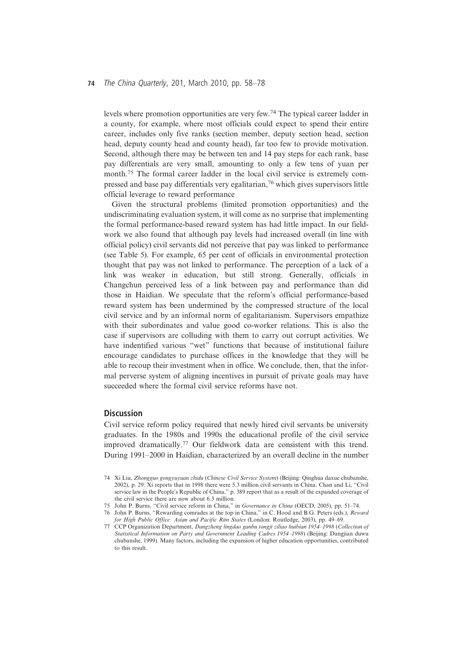## 74 The China Quarterly, 201, March 2010, pp. 58-78

levels where promotion opportunities are very few.74 The typical career ladder in a county, for example, where most officials could expect to spend their entire career, includes only five ranks (section member, deputy section head, section head, deputy county head and county head), far too few to provide motivation. Second, although there may be between ten and 14 pay steps for each rank, base pay differentials are very small, amounting to only a few tens of yuan per month.<sup>75</sup> The formal career ladder in the local civil service is extremely compressed and base pay differentials very egalitarian,<sup>76</sup> which gives supervisors little official leverage to reward performance

Given the structural problems (limited promotion opportunities) and the undiscriminating evaluation system, it will come as no surprise that implementing the formal performance-based reward system has had little impact. In our fieldwork we also found that although pay levels had increased overall (in line with official policy) civil servants did not perceive that pay was linked to performance (see Table 5). For example, 65 per cent of officials in environmental protection thought that pay was not linked to performance. The perception of a lack of a link was weaker in education, but still strong. Generally, officials in Changchun perceived less of a link between pay and performance than did those in Haidian. We speculate that the reform's official performance-based reward system has been undermined by the compressed structure of the local civil service and by an informal norm of egalitarianism. Supervisors empathize with their subordinates and value good co-worker relations. This is also the case if supervisors are colluding with them to carry out corrupt activities. We have indentified various "wet" functions that because of institutional failure encourage candidates to purchase offices in the knowledge that they will be able to recoup their investment when in office. We conclude, then, that the informal perverse system of aligning incentives in pursuit of private goals may have succeeded where the formal civil service reforms have not.

## **Discussion**

Civil service reform policy required that newly hired civil servants be university graduates. In the 1980s and 1990s the educational profile of the civil service improved dramatically.<sup>77</sup> Our fieldwork data are consistent with this trend. During 1991–2000 in Haidian, characterized by an overall decline in the number

<sup>74</sup> Xi Liu, Zhongguo gongyuyuan zhidu (Chinese Civil Service System) (Beijing: Qinghua daxue chubanshe, 2002), p. 29. Xi reports that in 1998 there were 5.3 million civil servants in China. Chan and Li, "Civil service law in the People's Republic of China," p. 389 report that as a result of the expanded coverage of the civil service there are now about 6.3 million.

<sup>75</sup> John P. Burns, "Civil service reform in China," in Governance in China (OECD, 2005), pp. 51–74.

<sup>76</sup> John P. Burns, "Rewarding comrades at the top in China," in C. Hood and B.G. Peters (eds.), Reward for High Public Office: Asian and Pacific Rim States (London: Routledge, 2003), pp. 49–69.

<sup>77</sup> CCP Organization Department, Dangzheng lingdao ganbu tongji ziliao huibian 1954–1998 (Collection of Statistical Information on Party and Government Leading Cadres 1954–1998) (Beijing: Dangjian duwu chubanshe, 1999). Many factors, including the expansion of higher education opportunities, contributed to this result.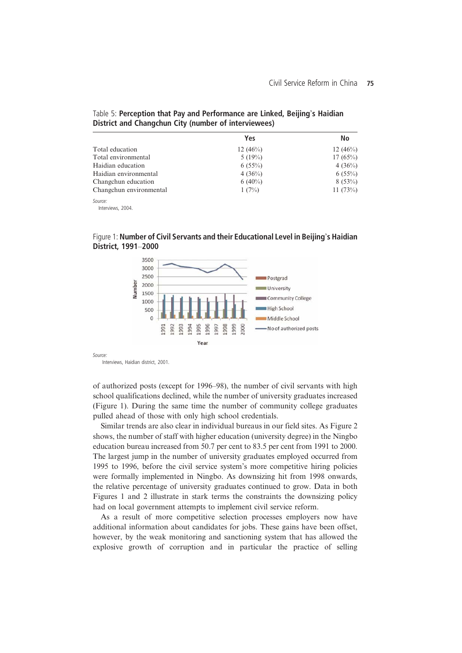|                         | Yes         | No          |
|-------------------------|-------------|-------------|
| Total education         | 12 $(46\%)$ | 12 $(46\%)$ |
| Total environmental     | 5(19%)      | $17(65\%)$  |
| Haidian education       | $6(55\%)$   | 4(36%)      |
| Haidian environmental   | 4(36%)      | $6(55\%)$   |
| Changchun education     | $6(40\%)$   | 8(53%)      |
| Changchun environmental | 1(7%)       | 11 $(73%)$  |
| Source:                 |             |             |

# Table 5: Perception that Pay and Performance are Linked, Beijing's Haidian District and Changchun City (number of interviewees)

Interviews, 2004.

Figure 1: Number of Civil Servants and their Educational Level in Beijing's Haidian District, 1991–2000



Source

Interviews, Haidian district, 2001.

of authorized posts (except for 1996–98), the number of civil servants with high school qualifications declined, while the number of university graduates increased (Figure 1). During the same time the number of community college graduates pulled ahead of those with only high school credentials.

Similar trends are also clear in individual bureaus in our field sites. As Figure 2 shows, the number of staff with higher education (university degree) in the Ningbo education bureau increased from 50.7 per cent to 83.5 per cent from 1991 to 2000. The largest jump in the number of university graduates employed occurred from 1995 to 1996, before the civil service system's more competitive hiring policies were formally implemented in Ningbo. As downsizing hit from 1998 onwards, the relative percentage of university graduates continued to grow. Data in both Figures 1 and 2 illustrate in stark terms the constraints the downsizing policy had on local government attempts to implement civil service reform.

As a result of more competitive selection processes employers now have additional information about candidates for jobs. These gains have been offset, however, by the weak monitoring and sanctioning system that has allowed the explosive growth of corruption and in particular the practice of selling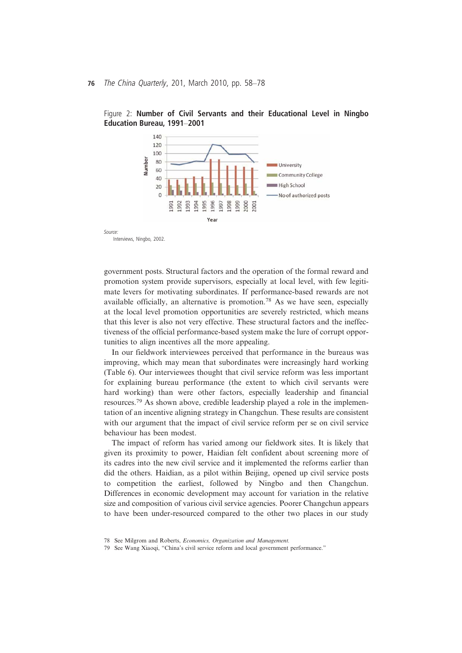



Source

Interviews, Ningbo, 2002.

government posts. Structural factors and the operation of the formal reward and promotion system provide supervisors, especially at local level, with few legitimate levers for motivating subordinates. If performance-based rewards are not available officially, an alternative is promotion.78 As we have seen, especially at the local level promotion opportunities are severely restricted, which means that this lever is also not very effective. These structural factors and the ineffectiveness of the official performance-based system make the lure of corrupt opportunities to align incentives all the more appealing.

In our fieldwork interviewees perceived that performance in the bureaus was improving, which may mean that subordinates were increasingly hard working (Table 6). Our interviewees thought that civil service reform was less important for explaining bureau performance (the extent to which civil servants were hard working) than were other factors, especially leadership and financial resources.<sup>79</sup> As shown above, credible leadership played a role in the implementation of an incentive aligning strategy in Changchun. These results are consistent with our argument that the impact of civil service reform per se on civil service behaviour has been modest.

The impact of reform has varied among our fieldwork sites. It is likely that given its proximity to power, Haidian felt confident about screening more of its cadres into the new civil service and it implemented the reforms earlier than did the others. Haidian, as a pilot within Beijing, opened up civil service posts to competition the earliest, followed by Ningbo and then Changchun. Differences in economic development may account for variation in the relative size and composition of various civil service agencies. Poorer Changchun appears to have been under-resourced compared to the other two places in our study

<sup>78</sup> See Milgrom and Roberts, Economics, Organization and Management.

<sup>79</sup> See Wang Xiaoqi, "China's civil service reform and local government performance."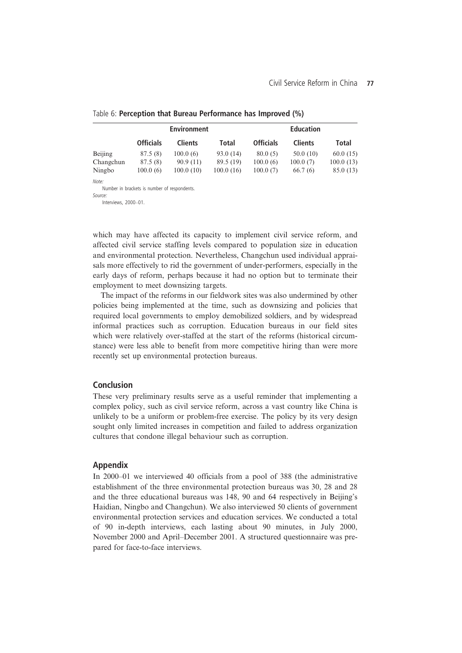|           | <b>Environment</b> |                |           | <b>Education</b> |                |           |
|-----------|--------------------|----------------|-----------|------------------|----------------|-----------|
|           | <b>Officials</b>   | <b>Clients</b> | Total     | <b>Officials</b> | <b>Clients</b> | Total     |
| Beijing   | 87.5(8)            | 100.0(6)       | 93.0 (14) | 80.0(5)          | 50.0(10)       | 60.0(15)  |
| Changchun | 87.5 (8)           | 90.9(11)       | 89.5 (19) | 100.0(6)         | 100.0(7)       | 100.0(13) |
| Ningbo    | 100.0(6)           | 100.0(10)      | 100.0(16) | 100.0(7)         | 66.7(6)        | 85.0 (13) |
| Note:     |                    |                |           |                  |                |           |

## Table 6: Perception that Bureau Performance has Improved (%)

Note: Number in brackets is number of respondents.

 $S<sub>Our</sub>$ 

Source: Interviews, 2000–01.

which may have affected its capacity to implement civil service reform, and affected civil service staffing levels compared to population size in education and environmental protection. Nevertheless, Changchun used individual appraisals more effectively to rid the government of under-performers, especially in the early days of reform, perhaps because it had no option but to terminate their employment to meet downsizing targets.

The impact of the reforms in our fieldwork sites was also undermined by other policies being implemented at the time, such as downsizing and policies that required local governments to employ demobilized soldiers, and by widespread informal practices such as corruption. Education bureaus in our field sites which were relatively over-staffed at the start of the reforms (historical circumstance) were less able to benefit from more competitive hiring than were more recently set up environmental protection bureaus.

#### Conclusion

These very preliminary results serve as a useful reminder that implementing a complex policy, such as civil service reform, across a vast country like China is unlikely to be a uniform or problem-free exercise. The policy by its very design sought only limited increases in competition and failed to address organization cultures that condone illegal behaviour such as corruption.

### Appendix

In 2000–01 we interviewed 40 officials from a pool of 388 (the administrative establishment of the three environmental protection bureaus was 30, 28 and 28 and the three educational bureaus was 148, 90 and 64 respectively in Beijing's Haidian, Ningbo and Changchun). We also interviewed 50 clients of government environmental protection services and education services. We conducted a total of 90 in-depth interviews, each lasting about 90 minutes, in July 2000, November 2000 and April–December 2001. A structured questionnaire was prepared for face-to-face interviews.